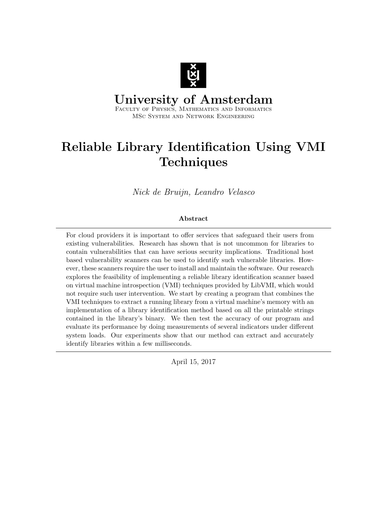

University of Amsterdam Faculty of Physics, Mathematics and Informatics

MSc System and Network Engineering

# Reliable Library Identification Using VMI **Techniques**

Nick de Bruijn, Leandro Velasco

### Abstract

For cloud providers it is important to offer services that safeguard their users from existing vulnerabilities. Research has shown that is not uncommon for libraries to contain vulnerabilities that can have serious security implications. Traditional host based vulnerability scanners can be used to identify such vulnerable libraries. However, these scanners require the user to install and maintain the software. Our research explores the feasibility of implementing a reliable library identification scanner based on virtual machine introspection (VMI) techniques provided by LibVMI, which would not require such user intervention. We start by creating a program that combines the VMI techniques to extract a running library from a virtual machine's memory with an implementation of a library identification method based on all the printable strings contained in the library's binary. We then test the accuracy of our program and evaluate its performance by doing measurements of several indicators under different system loads. Our experiments show that our method can extract and accurately identify libraries within a few milliseconds.

April 15, 2017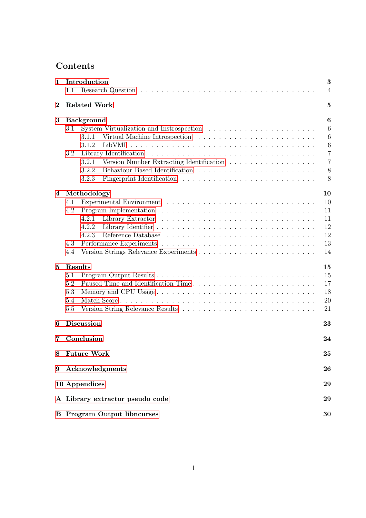## Contents

| 1        | Introduction<br>1.1                                                                                          | 3<br>$\overline{4}$   |  |  |
|----------|--------------------------------------------------------------------------------------------------------------|-----------------------|--|--|
| $\bf{2}$ | <b>Related Work</b>                                                                                          | 5                     |  |  |
|          |                                                                                                              |                       |  |  |
| 3        | <b>Background</b>                                                                                            | 6                     |  |  |
|          | $3.1\,$                                                                                                      | 6<br>6                |  |  |
|          | 3.1.1<br>3.1.2                                                                                               |                       |  |  |
|          |                                                                                                              | $\boldsymbol{6}$<br>7 |  |  |
|          | 3.2<br>Version Number Extracting Identification<br>3.2.1                                                     | $\overline{7}$        |  |  |
|          | 3.2.2                                                                                                        | 8                     |  |  |
|          | 3.2.3                                                                                                        | 8                     |  |  |
| 4        | Methodology                                                                                                  | 10                    |  |  |
|          | 4.1                                                                                                          | 10                    |  |  |
|          | Program Implementation $\ldots \ldots \ldots \ldots \ldots \ldots \ldots \ldots \ldots \ldots \ldots$<br>4.2 | 11                    |  |  |
|          | 4.2.1                                                                                                        | 11                    |  |  |
|          | 4.2.2                                                                                                        | 12                    |  |  |
|          | 4.2.3                                                                                                        | 12                    |  |  |
|          | 4.3                                                                                                          | 13                    |  |  |
|          | 4.4                                                                                                          | 14                    |  |  |
| 5        | Results                                                                                                      | 15                    |  |  |
|          | 5.1                                                                                                          | 15                    |  |  |
|          | 5.2                                                                                                          | 17                    |  |  |
|          | 5.3                                                                                                          | 18                    |  |  |
|          | 5.4                                                                                                          | 20                    |  |  |
|          | 5.5                                                                                                          | 21                    |  |  |
| 6        | <b>Discussion</b>                                                                                            | 23                    |  |  |
| 7        | Conclusion<br>24                                                                                             |                       |  |  |
| 8        | <b>Future Work</b><br>25                                                                                     |                       |  |  |
| 9        | Acknowledgments                                                                                              | 26                    |  |  |
|          | 10 Appendices                                                                                                |                       |  |  |
|          | 29                                                                                                           |                       |  |  |
|          | A Library extractor pseudo code                                                                              | 29                    |  |  |
|          | <b>B</b> Program Output libncurses                                                                           | 30                    |  |  |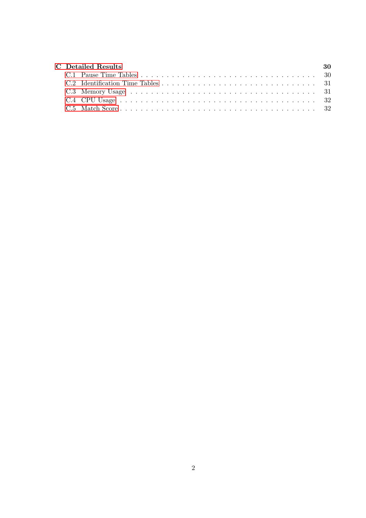|  | <b>C</b> Detailed Results | -30 |
|--|---------------------------|-----|
|  |                           |     |
|  |                           |     |
|  |                           |     |
|  |                           |     |
|  |                           |     |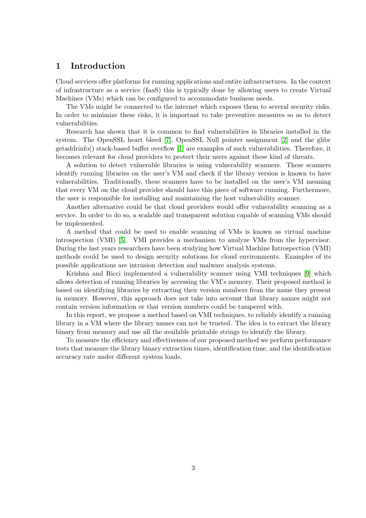### <span id="page-3-0"></span>1 Introduction

Cloud services offer platforms for running applications and entire infrastructures. In the context of infrastructure as a service (IaaS) this is typically done by allowing users to create Virtual Machines (VMs) which can be configured to accommodate business needs.

The VMs might be connected to the internet which exposes them to several security risks. In order to minimize these risks, it is important to take preventive measures so as to detect vulnerabilities.

Research has shown that it is common to find vulnerabilities in libraries installed in the system. The OpenSSL heart bleed [\[7\]](#page-27-0), OpenSSL Null pointer assignment [\[2\]](#page-27-1) and the glibc getaddrinfo() stack-based buffer overflow [\[1\]](#page-27-2) are examples of such vulnerabilities. Therefore, it becomes relevant for cloud providers to protect their users against these kind of threats.

A solution to detect vulnerable libraries is using vulnerability scanners. These scanners identify running libraries on the user's VM and check if the library version is known to have vulnerabilities. Traditionally, these scanners have to be installed on the user's VM meaning that every VM on the cloud provider should have this piece of software running. Furthermore, the user is responsible for installing and maintaining the host vulnerability scanner.

Another alternative could be that cloud providers would offer vulnerability scanning as a service. In order to do so, a scalable and transparent solution capable of scanning VMs should be implemented.

A method that could be used to enable scanning of VMs is known as virtual machine introspection (VMI) [\[5\]](#page-27-3). VMI provides a mechanism to analyze VMs from the hypervisor. During the last years researchers have been studying how Virtual Machine Introspection (VMI) methods could be used to design security solutions for cloud environments. Examples of its possible applications are intrusion detection and malware analysis systems.

Krishna and Ricci implemented a vulnerability scanner using VMI techniques [\[9\]](#page-27-4) which allows detection of running libraries by accessing the VM's memory. Their proposed method is based on identifying libraries by extracting their version numbers from the name they present in memory. However, this approach does not take into account that library names might not contain version information or that version numbers could be tampered with.

In this report, we propose a method based on VMI techniques, to reliably identify a running library in a VM where the library names can not be trusted. The idea is to extract the library binary from memory and use all the available printable strings to identify the library.

To measure the efficiency and effectiveness of our proposed method we perform performance tests that measure the library binary extraction times, identification time, and the identification accuracy rate under different system loads.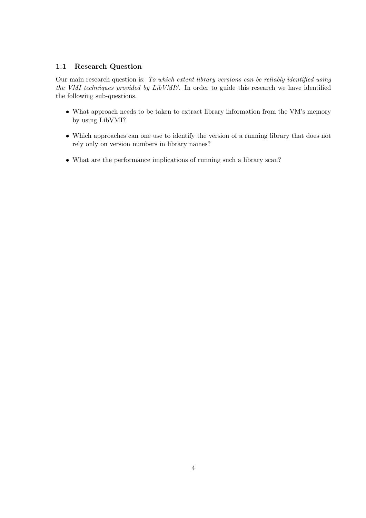### <span id="page-4-0"></span>1.1 Research Question

Our main research question is: To which extent library versions can be reliably identified using the VMI techniques provided by LibVMI?. In order to guide this research we have identified the following sub-questions.

- What approach needs to be taken to extract library information from the VM's memory by using LibVMI?
- Which approaches can one use to identify the version of a running library that does not rely only on version numbers in library names?
- What are the performance implications of running such a library scan?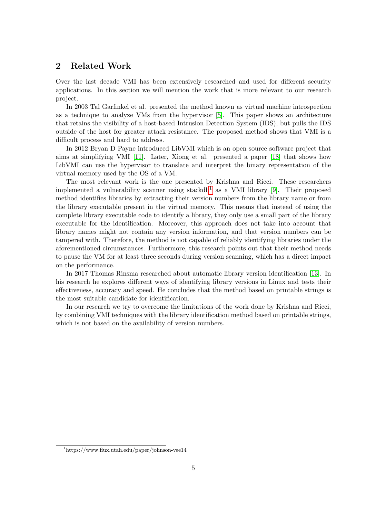## <span id="page-5-0"></span>2 Related Work

Over the last decade VMI has been extensively researched and used for different security applications. In this section we will mention the work that is more relevant to our research project.

In 2003 Tal Garfinkel et al. presented the method known as virtual machine introspection as a technique to analyze VMs from the hypervisor [\[5\]](#page-27-3). This paper shows an architecture that retains the visibility of a host-based Intrusion Detection System (IDS), but pulls the IDS outside of the host for greater attack resistance. The proposed method shows that VMI is a difficult process and hard to address.

In 2012 Bryan D Payne introduced LibVMI which is an open source software project that aims at simplifying VMI [\[11\]](#page-27-5). Later, Xiong et al. presented a paper [\[18\]](#page-28-0) that shows how LibVMI can use the hypervisor to translate and interpret the binary representation of the virtual memory used by the OS of a VM.

The most relevant work is the one presented by Krishna and Ricci. These researchers implemented a vulnerability scanner using stackdb<sup>[1](#page-5-1)</sup> as a VMI library [\[9\]](#page-27-4). Their proposed method identifies libraries by extracting their version numbers from the library name or from the library executable present in the virtual memory. This means that instead of using the complete library executable code to identify a library, they only use a small part of the library executable for the identification. Moreover, this approach does not take into account that library names might not contain any version information, and that version numbers can be tampered with. Therefore, the method is not capable of reliably identifying libraries under the aforementioned circumstances. Furthermore, this research points out that their method needs to pause the VM for at least three seconds during version scanning, which has a direct impact on the performance.

In 2017 Thomas Rinsma researched about automatic library version identification [\[13\]](#page-27-6). In his research he explores different ways of identifying library versions in Linux and tests their effectiveness, accuracy and speed. He concludes that the method based on printable strings is the most suitable candidate for identification.

In our research we try to overcome the limitations of the work done by Krishna and Ricci, by combining VMI techniques with the library identification method based on printable strings, which is not based on the availability of version numbers.

<span id="page-5-1"></span><sup>1</sup>https://www.flux.utah.edu/paper/johnson-vee14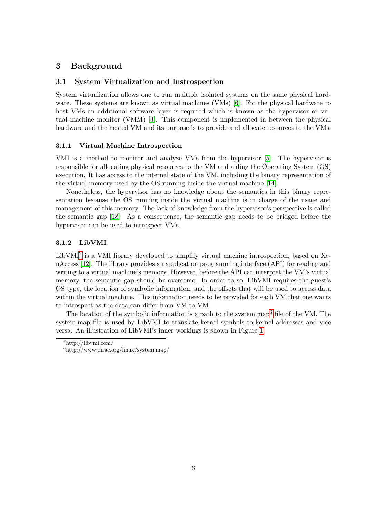## <span id="page-6-0"></span>3 Background

#### <span id="page-6-1"></span>3.1 System Virtualization and Instrospection

System virtualization allows one to run multiple isolated systems on the same physical hard-ware. These systems are known as virtual machines (VMs) [\[6\]](#page-27-7). For the physical hardware to host VMs an additional software layer is required which is known as the hypervisor or virtual machine monitor (VMM) [\[3\]](#page-27-8). This component is implemented in between the physical hardware and the hosted VM and its purpose is to provide and allocate resources to the VMs.

#### <span id="page-6-2"></span>3.1.1 Virtual Machine Introspection

VMI is a method to monitor and analyze VMs from the hypervisor [\[5\]](#page-27-3). The hypervisor is responsible for allocating physical resources to the VM and aiding the Operating System (OS) execution. It has access to the internal state of the VM, including the binary representation of the virtual memory used by the OS running inside the virtual machine [\[14\]](#page-27-9).

Nonetheless, the hypervisor has no knowledge about the semantics in this binary representation because the OS running inside the virtual machine is in charge of the usage and management of this memory. The lack of knowledge from the hypervisor's perspective is called the semantic gap [\[18\]](#page-28-0). As a consequence, the semantic gap needs to be bridged before the hypervisor can be used to introspect VMs.

#### <span id="page-6-3"></span>3.1.2 LibVMI

LibVMI<sup>[2](#page-6-4)</sup> is a VMI library developed to simplify virtual machine introspection, based on XenAccess [\[12\]](#page-27-10). The library provides an application programming interface (API) for reading and writing to a virtual machine's memory. However, before the API can interpret the VM's virtual memory, the semantic gap should be overcome. In order to so, LibVMI requires the guest's OS type, the location of symbolic information, and the offsets that will be used to access data within the virtual machine. This information needs to be provided for each VM that one wants to introspect as the data can differ from VM to VM.

The location of the symbolic information is a path to the system.map<sup>[3](#page-6-5)</sup> file of the VM. The system.map file is used by LibVMI to translate kernel symbols to kernel addresses and vice versa. An illustration of LibVMI's inner workings is shown in Figure [1.](#page-7-2)

<span id="page-6-4"></span> $^{2}$ http://libvmi.com/

<span id="page-6-5"></span><sup>3</sup>http://www.dirac.org/linux/system.map/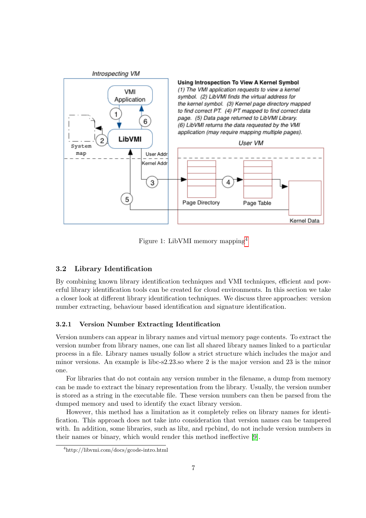<span id="page-7-2"></span>

Figure 1: LibVMI memory mapping[4](#page-7-3)

#### <span id="page-7-0"></span>3.2 Library Identification

By combining known library identification techniques and VMI techniques, efficient and powerful library identification tools can be created for cloud environments. In this section we take a closer look at different library identification techniques. We discuss three approaches: version number extracting, behaviour based identification and signature identification.

#### <span id="page-7-1"></span>3.2.1 Version Number Extracting Identification

Version numbers can appear in library names and virtual memory page contents. To extract the version number from library names, one can list all shared library names linked to a particular process in a file. Library names usually follow a strict structure which includes the major and minor versions. An example is libc-s2.23.so where 2 is the major version and 23 is the minor one.

For libraries that do not contain any version number in the filename, a dump from memory can be made to extract the binary representation from the library. Usually, the version number is stored as a string in the executable file. These version numbers can then be parsed from the dumped memory and used to identify the exact library version.

However, this method has a limitation as it completely relies on library names for identification. This approach does not take into consideration that version names can be tampered with. In addition, some libraries, such as libz, and rpcbind, do not include version numbers in their names or binary, which would render this method ineffective [\[9\]](#page-27-4).

<span id="page-7-3"></span><sup>4</sup>http://libvmi.com/docs/gcode-intro.html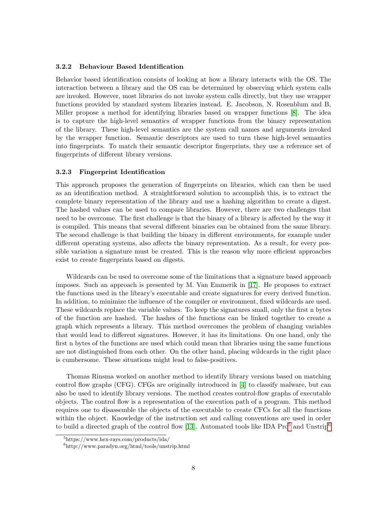#### <span id="page-8-0"></span>3.2.2 Behaviour Based Identification

Behavior based identification consists of looking at how a library interacts with the OS. The interaction between a library and the OS can be determined by observing which system calls are invoked. However, most libraries do not invoke system calls directly, but they use wrapper functions provided by standard system libraries instead. E. Jacobson, N. Rosenblum and B, Miller propose a method for identifying libraries based on wrapper functions [\[8\]](#page-27-11). The idea is to capture the high-level semantics of wrapper functions from the binary representation of the library. These high-level semantics are the system call names and arguments invoked by the wrapper function. Semantic descriptors are used to turn these high-level semantics into fingerprints. To match their semantic descriptor fingerprints, they use a reference set of fingerprints of different library versions.

#### <span id="page-8-1"></span>3.2.3 Fingerprint Identification

This approach proposes the generation of fingerprints on libraries, which can then be used as an identification method. A straightforward solution to accomplish this, is to extract the complete binary representation of the library and use a hashing algorithm to create a digest. The hashed values can be used to compare libraries. However, there are two challenges that need to be overcome. The first challenge is that the binary of a library is affected by the way it is compiled. This means that several different binaries can be obtained from the same library. The second challenge is that building the binary in different environments, for example under different operating systems, also affects the binary representation. As a result, for every possible variation a signature must be created. This is the reason why more efficient approaches exist to create fingerprints based on digests.

Wildcards can be used to overcome some of the limitations that a signature based approach imposes. Such an approach is presented by M. Van Emmerik in [\[17\]](#page-28-1). He proposes to extract the functions used in the library's executable and create signatures for every derived function. In addition, to minimize the influence of the compiler or environment, fixed wildcards are used. These wildcards replace the variable values. To keep the signatures small, only the first n bytes of the function are hashed. The hashes of the functions can be linked together to create a graph which represents a library. This method overcomes the problem of changing variables that would lead to different signatures. However, it has its limitations. On one hand, only the first n bytes of the functions are used which could mean that libraries using the same functions are not distinguished from each other. On the other hand, placing wildcards in the right place is cumbersome. These situations might lead to false-positives.

Thomas Rinsma worked on another method to identify library versions based on matching control flow graphs (CFG). CFGs are originally introduced in [\[4\]](#page-27-12) to classify malware, but can also be used to identify library versions. The method creates control-flow graphs of executable objects. The control flow is a representation of the execution path of a program. This method requires one to disassemble the objects of the executable to create CFCs for all the functions within the object. Knowledge of the instruction set and calling conventions are used in order to build a directed graph of the control flow [\[13\]](#page-27-6). Automated tools like IDA  $Pro<sup>5</sup>$  $Pro<sup>5</sup>$  $Pro<sup>5</sup>$  and Unstrip<sup>[6](#page-8-3)</sup>

<span id="page-8-2"></span><sup>5</sup>https://www.hex-rays.com/products/ida/

<span id="page-8-3"></span> $6$ http://www.paradyn.org/html/tools/unstrip.html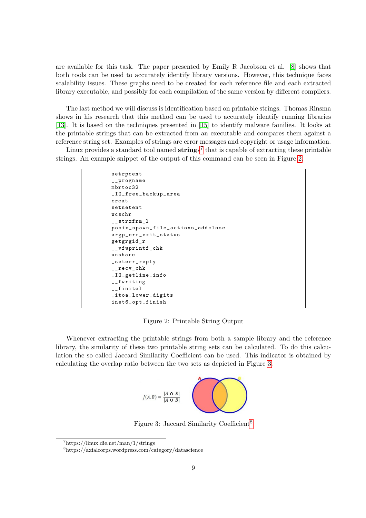are available for this task. The paper presented by Emily R Jacobson et al. [\[8\]](#page-27-11) shows that both tools can be used to accurately identify library versions. However, this technique faces scalability issues. These graphs need to be created for each reference file and each extracted library executable, and possibly for each compilation of the same version by different compilers.

The last method we will discuss is identification based on printable strings. Thomas Rinsma shows in his research that this method can be used to accurately identify running libraries [\[13\]](#page-27-6). It is based on the techniques presented in [\[15\]](#page-27-13) to identify malware families. It looks at the printable strings that can be extracted from an executable and compares them against a reference string set. Examples of strings are error messages and copyright or usage information.

<span id="page-9-1"></span>Linux provides a standard tool named  $\text{strings}^7$  $\text{strings}^7$  that is capable of extracting these printable strings. An example snippet of the output of this command can be seen in Figure [2.](#page-9-1)

```
setrpcent
__progname
mbrtoc32
_IO_free_backup_area
creat
setnetent
wcschr
_ __strxfrm _1posix_spawn_file_actions_addclose
argp_err_exit_status
getgrgid_r
__vfwprintf_chk
unshare
_seterr_reply
 __recv_chk
_IO_getline_info
I-fwriting
__finitel
_itoa_lower_digits
inet6_opt_finish
```
Figure 2: Printable String Output

<span id="page-9-2"></span>Whenever extracting the printable strings from both a sample library and the reference library, the similarity of these two printable string sets can be calculated. To do this calculation the so called Jaccard Similarity Coefficient can be used. This indicator is obtained by calculating the overlap ratio between the two sets as depicted in Figure [3.](#page-9-2)



Figure 3: Jaccard Similarity Coefficient<sup>[8](#page-9-3)</sup>

<span id="page-9-0"></span> $7$ https://linux.die.net/man/1/strings

<span id="page-9-3"></span><sup>8</sup>https://axialcorps.wordpress.com/category/datascience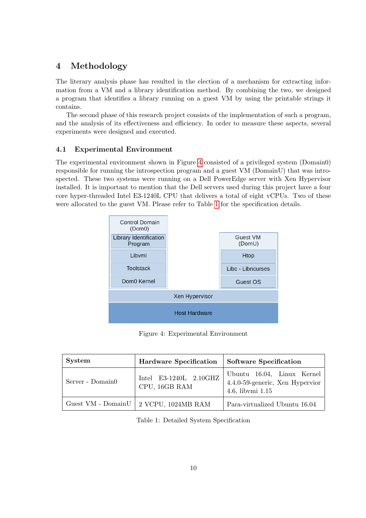## <span id="page-10-0"></span>4 Methodology

The literary analysis phase has resulted in the election of a mechanism for extracting information from a VM and a library identification method. By combining the two, we designed a program that identifies a library running on a guest VM by using the printable strings it contains.

The second phase of this research project consists of the implementation of such a program, and the analysis of its effectiveness and efficiency. In order to measure these aspects, several experiments were designed and executed.

### <span id="page-10-1"></span>4.1 Experimental Environment

The experimental environment shown in Figure [4](#page-10-2) consisted of a privileged system (Domain0) responsible for running the introspection program and a guest VM (DomainU) that was introspected. These two systems were running on a Dell PowerEdge server with Xen Hypervisor installed. It is important to mention that the Dell servers used during this project have a four core hyper-threaded Intel E3-1240L CPU that delivers a total of eight vCPUs. Two of these were allocated to the guest VM. Please refer to Table [1](#page-10-3) for the specification details.

<span id="page-10-2"></span>

Figure 4: Experimental Environment

<span id="page-10-3"></span>

| <b>System</b>    | <b>Hardware Specification</b>                    | <b>Software Specification</b>                                                     |  |
|------------------|--------------------------------------------------|-----------------------------------------------------------------------------------|--|
| Server - Domain0 | Intel E3-1240L 2.10GHZ<br>CPU, 16GB RAM          | Ubuntu 16.04, Linux Kernel<br>4.4.0-59-generic, Xen Hypervior<br>4.6, libymi 1.15 |  |
|                  | Guest VM - Domain<br>U $\mid$ 2 VCPU, 1024MB RAM | Para-virtualized Ubuntu 16.04                                                     |  |

Table 1: Detailed System Specification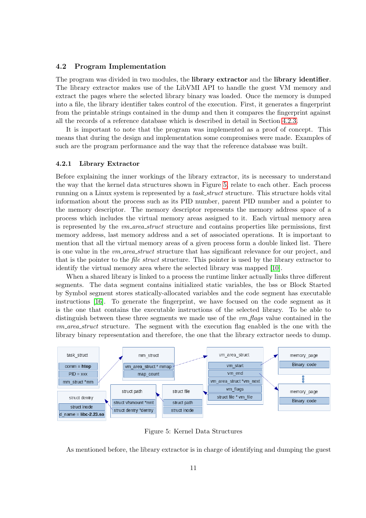#### <span id="page-11-0"></span>4.2 Program Implementation

The program was divided in two modules, the **library extractor** and the **library identifier**. The library extractor makes use of the LibVMI API to handle the guest VM memory and extract the pages where the selected library binary was loaded. Once the memory is dumped into a file, the library identifier takes control of the execution. First, it generates a fingerprint from the printable strings contained in the dump and then it compares the fingerprint against all the records of a reference database which is described in detail in Section [4.2.3.](#page-12-1)

It is important to note that the program was implemented as a proof of concept. This means that during the design and implementation some compromises were made. Examples of such are the program performance and the way that the reference database was built.

#### <span id="page-11-1"></span>4.2.1 Library Extractor

Before explaining the inner workings of the library extractor, its is necessary to understand the way that the kernel data structures shown in Figure [5,](#page-11-2) relate to each other. Each process running on a Linux system is represented by a *task\_struct* structure. This structure holds vital information about the process such as its PID number, parent PID number and a pointer to the memory descriptor. The memory descriptor represents the memory address space of a process which includes the virtual memory areas assigned to it. Each virtual memory area is represented by the *vm\_area\_struct* structure and contains properties like permissions, first memory address, last memory address and a set of associated operations. It is important to mention that all the virtual memory areas of a given process form a double linked list. There is one value in the  $vm_area\_struct$  structure that has significant relevance for our project, and that is the pointer to the *file struct* structure. This pointer is used by the library extractor to identify the virtual memory area where the selected library was mapped [\[10\]](#page-27-14).

When a shared library is linked to a process the runtime linker actually links three different segments. The data segment contains initialized static variables, the bss or Block Started by Symbol segment stores statically-allocated variables and the code segment has executable instructions [\[16\]](#page-28-2). To generate the fingerprint, we have focused on the code segment as it is the one that contains the executable instructions of the selected library. To be able to distinguish between these three segments we made use of the  $vm\text{-}flags$  value contained in the  $vm_area\_struct$  structure. The segment with the execution flag enabled is the one with the library binary representation and therefore, the one that the library extractor needs to dump.

<span id="page-11-2"></span>

Figure 5: Kernel Data Structures

As mentioned before, the library extractor is in charge of identifying and dumping the guest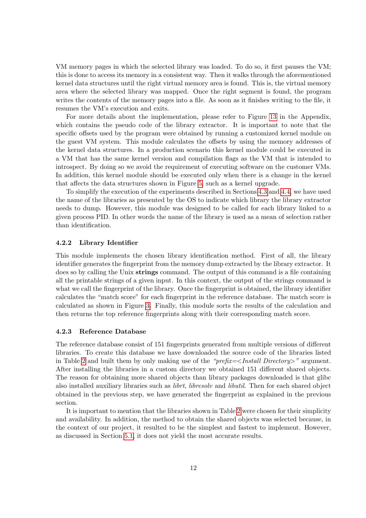VM memory pages in which the selected library was loaded. To do so, it first pauses the VM; this is done to access its memory in a consistent way. Then it walks through the aforementioned kernel data structures until the right virtual memory area is found. This is, the virtual memory area where the selected library was mapped. Once the right segment is found, the program writes the contents of the memory pages into a file. As soon as it finishes writing to the file, it resumes the VM's execution and exits.

For more details about the implementation, please refer to Figure [13](#page-29-2) in the Appendix, which contains the pseudo code of the library extractor. It is important to note that the specific offsets used by the program were obtained by running a customized kernel module on the guest VM system. This module calculates the offsets by using the memory addresses of the kernel data structures. In a production scenario this kernel module could be executed in a VM that has the same kernel version and compilation flags as the VM that is intended to introspect. By doing so we avoid the requirement of executing software on the customer VMs. In addition, this kernel module should be executed only when there is a change in the kernel that affects the data structures shown in Figure [5,](#page-11-2) such as a kernel upgrade.

To simplify the execution of the experiments described in Sections [4.3](#page-13-0) and [4.4,](#page-14-0) we have used the name of the libraries as presented by the OS to indicate which library the library extractor needs to dump. However, this module was designed to be called for each library linked to a given process PID. In other words the name of the library is used as a mean of selection rather than identification.

#### <span id="page-12-0"></span>4.2.2 Library Identifier

This module implements the chosen library identification method. First of all, the library identifier generates the fingerprint from the memory dump extracted by the library extractor. It does so by calling the Unix strings command. The output of this command is a file containing all the printable strings of a given input. In this context, the output of the strings command is what we call the fingerprint of the library. Once the fingerprint is obtained, the library identifier calculates the "match score" for each fingerprint in the reference database. The match score is calculated as shown in Figure [3.](#page-9-2) Finally, this module sorts the results of the calculation and then returns the top reference fingerprints along with their corresponding match score.

#### <span id="page-12-1"></span>4.2.3 Reference Database

The reference database consist of 151 fingerprints generated from multiple versions of different libraries. To create this database we have downloaded the source code of the libraries listed in Table [2](#page-13-1) and built them by only making use of the "*prefix=*<Install Directory>" argument. After installing the libraries in a custom directory we obtained 151 different shared objects. The reason for obtaining more shared objects than library packages downloaded is that glibc also installed auxiliary libraries such as *librt, libresolv* and *libutil*. Then for each shared object obtained in the previous step, we have generated the fingerprint as explained in the previous section.

It is important to mention that the libraries shown in Table [2](#page-13-1) were chosen for their simplicity and availability. In addition, the method to obtain the shared objects was selected because, in the context of our project, it resulted to be the simplest and fastest to implement. However, as discussed in Section [5.1,](#page-15-1) it does not yield the most accurate results.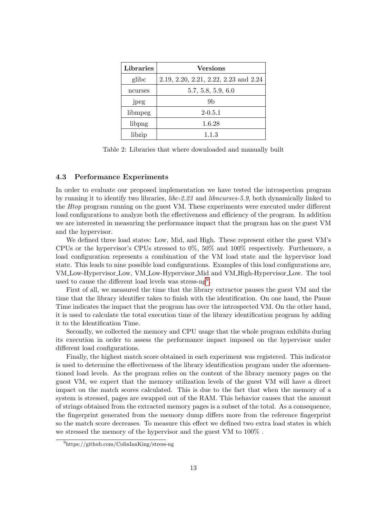<span id="page-13-1"></span>

| Libraries | <b>Versions</b>                       |  |
|-----------|---------------------------------------|--|
| glibc     | 2.19, 2.20, 2.21, 2.22, 2.23 and 2.24 |  |
| ncurses   | 5.7, 5.8, 5.9, 6.0                    |  |
| jpeg      | 9b                                    |  |
| libmpeg   | $2-0.5.1$                             |  |
| libpng    | 1.6.28                                |  |
| libzip    | 1.1.3                                 |  |

Table 2: Libraries that where downloaded and manually built

#### <span id="page-13-0"></span>4.3 Performance Experiments

In order to evaluate our proposed implementation we have tested the introspection program by running it to identify two libraries, libc-2.23 and libncurses-5.9, both dynamically linked to the Htop program running on the guest VM. These experiments were executed under different load configurations to analyze both the effectiveness and efficiency of the program. In addition we are interested in measuring the performance impact that the program has on the guest VM and the hypervisor.

We defined three load states: Low, Mid, and High. These represent either the guest VM's CPUs or the hypervisor's CPUs stressed to 0%, 50% and 100% respectively. Furthemore, a load configuration represents a combination of the VM load state and the hypervisor load state. This leads to nine possible load configurations. Examples of this load configurations are, VM Low-Hypervisor Low, VM Low-Hypervisor Mid and VM High-Hypervisor Low. The tool used to cause the different load levels was stress-ng<sup>[9](#page-13-2)</sup>.

First of all, we measured the time that the library extractor pauses the guest VM and the time that the library identifier takes to finish with the identification. On one hand, the Pause Time indicates the impact that the program has over the introspected VM. On the other hand, it is used to calculate the total execution time of the library identification program by adding it to the Identification Time.

Secondly, we collected the memory and CPU usage that the whole program exhibits during its execution in order to assess the performance impact imposed on the hypervisor under different load configurations.

Finally, the highest match score obtained in each experiment was registered. This indicator is used to determine the effectiveness of the library identification program under the aforementioned load levels. As the program relies on the content of the library memory pages on the guest VM, we expect that the memory utilization levels of the guest VM will have a direct impact on the match scores calculated. This is due to the fact that when the memory of a system is stressed, pages are swapped out of the RAM. This behavior causes that the amount of strings obtained from the extracted memory pages is a subset of the total. As a consequence, the fingerprint generated from the memory dump differs more from the reference fingerprint so the match score decreases. To measure this effect we defined two extra load states in which we stressed the memory of the hypervisor and the guest VM to 100% .

<span id="page-13-2"></span><sup>9</sup>https://github.com/ColinIanKing/stress-ng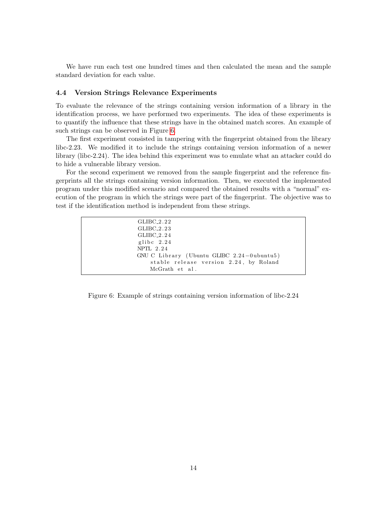We have run each test one hundred times and then calculated the mean and the sample standard deviation for each value.

#### <span id="page-14-0"></span>4.4 Version Strings Relevance Experiments

To evaluate the relevance of the strings containing version information of a library in the identification process, we have performed two experiments. The idea of these experiments is to quantify the influence that these strings have in the obtained match scores. An example of such strings can be observed in Figure [6.](#page-14-1)

The first experiment consisted in tampering with the fingerprint obtained from the library libc-2.23. We modified it to include the strings containing version information of a newer library (libc-2.24). The idea behind this experiment was to emulate what an attacker could do to hide a vulnerable library version.

For the second experiment we removed from the sample fingerprint and the reference fingerprints all the strings containing version information. Then, we executed the implemented program under this modified scenario and compared the obtained results with a "normal" execution of the program in which the strings were part of the fingerprint. The objective was to test if the identification method is independent from these strings.

<span id="page-14-1"></span>

| $GLIBC_2.22$                               |
|--------------------------------------------|
| $GLIBC_2.23$                               |
| GLIBC 2.24                                 |
| glibc $2.24$                               |
| $NPTL$ 2.24                                |
| GNU C Library (Ubuntu GLIBC 2.24-0ubuntu5) |
| stable release version 2.24, by Roland     |
| McGrath et al.                             |
|                                            |

Figure 6: Example of strings containing version information of libc-2.24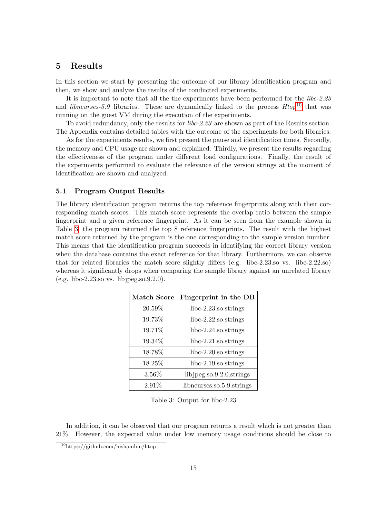### <span id="page-15-0"></span>5 Results

In this section we start by presenting the outcome of our library identification program and then, we show and analyze the results of the conducted experiments.

It is important to note that all the the experiments have been performed for the libc-2.23 and *libncurses-5.9* libraries. These are dynamically linked to the process  $Htop^{10}$  $Htop^{10}$  $Htop^{10}$  that was running on the guest VM during the execution of the experiments.

To avoid redundancy, only the results for libc-2.23 are shown as part of the Results section. The Appendix contains detailed tables with the outcome of the experiments for both libraries.

As for the experiments results, we first present the pause and identification times. Secondly, the memory and CPU usage are shown and explained. Thirdly, we present the results regarding the effectiveness of the program under different load configurations. Finally, the result of the experiments performed to evaluate the relevance of the version strings at the moment of identification are shown and analyzed.

#### <span id="page-15-1"></span>5.1 Program Output Results

The library identification program returns the top reference fingerprints along with their corresponding match scores. This match score represents the overlap ratio between the sample fingerprint and a given reference fingerprint. As it can be seen from the example shown in Table [3,](#page-15-3) the program returned the top 8 reference fingerprints. The result with the highest match score returned by the program is the one corresponding to the sample version number. This means that the identification program succeeds in identifying the correct library version when the database contains the exact reference for that library. Furthermore, we can observe that for related libraries the match score slightly differs (e.g. libc-2.23.so vs. libc-2.22.so) whereas it significantly drops when comparing the sample library against an unrelated library (e.g. libc-2.23.so vs. libjpeg.so.9.2.0).

<span id="page-15-3"></span>

| <b>Match Score</b> | Fingerprint in the DB        |
|--------------------|------------------------------|
| 20.59%             | $libc-2.23$ .so.strings      |
| 19.73%             | $libc-2.22$ .so.strings      |
| 19.71%             | $libc-2.24$ .so.strings      |
| 19.34%             | $libc-2.21$ .so.strings      |
| 18.78%             | $libc-2.20$ .so.strings      |
| 18.25%             | libc-2.19.so.strings         |
| $3.56\%$           | libjpeg.so. $9.2.0$ .strings |
| 2.91%              | libncurses.so.5.9.strings    |

Table 3: Output for libc-2.23

In addition, it can be observed that our program returns a result which is not greater than 21%. However, the expected value under low memory usage conditions should be close to

<span id="page-15-2"></span> $10$ https://github.com/hishamhm/htop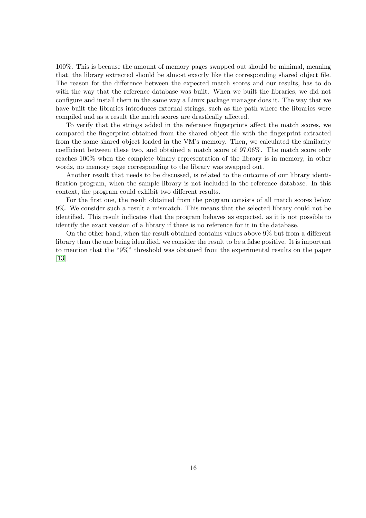100%. This is because the amount of memory pages swapped out should be minimal, meaning that, the library extracted should be almost exactly like the corresponding shared object file. The reason for the difference between the expected match scores and our results, has to do with the way that the reference database was built. When we built the libraries, we did not configure and install them in the same way a Linux package manager does it. The way that we have built the libraries introduces external strings, such as the path where the libraries were compiled and as a result the match scores are drastically affected.

To verify that the strings added in the reference fingerprints affect the match scores, we compared the fingerprint obtained from the shared object file with the fingerprint extracted from the same shared object loaded in the VM's memory. Then, we calculated the similarity coefficient between these two, and obtained a match score of 97.06%. The match score only reaches 100% when the complete binary representation of the library is in memory, in other words, no memory page corresponding to the library was swapped out.

Another result that needs to be discussed, is related to the outcome of our library identification program, when the sample library is not included in the reference database. In this context, the program could exhibit two different results.

For the first one, the result obtained from the program consists of all match scores below 9%. We consider such a result a mismatch. This means that the selected library could not be identified. This result indicates that the program behaves as expected, as it is not possible to identify the exact version of a library if there is no reference for it in the database.

On the other hand, when the result obtained contains values above 9% but from a different library than the one being identified, we consider the result to be a false positive. It is important to mention that the "9%" threshold was obtained from the experimental results on the paper [\[13\]](#page-27-6).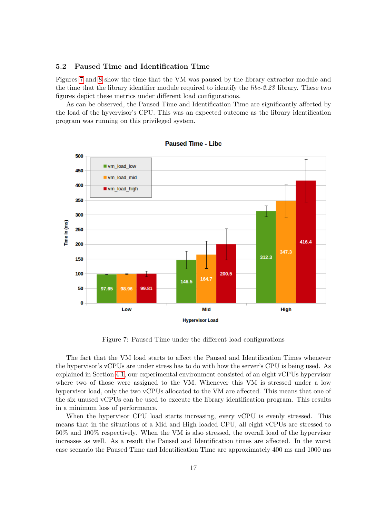#### <span id="page-17-0"></span>5.2 Paused Time and Identification Time

Figures [7](#page-17-1) and [8](#page-18-1) show the time that the VM was paused by the library extractor module and the time that the library identifier module required to identify the libc-2.23 library. These two figures depict these metrics under different load configurations.

As can be observed, the Paused Time and Identification Time are significantly affected by the load of the hyvervisor's CPU. This was an expected outcome as the library identification program was running on this privileged system.

<span id="page-17-1"></span>

**Paused Time - Libc** 

Figure 7: Paused Time under the different load configurations

The fact that the VM load starts to affect the Paused and Identification Times whenever the hypervisor's vCPUs are under stress has to do with how the server's CPU is being used. As explained in Section [4.1,](#page-10-1) our experimental environment consisted of an eight vCPUs hypervisor where two of those were assigned to the VM. Whenever this VM is stressed under a low hypervisor load, only the two vCPUs allocated to the VM are affected. This means that one of the six unused vCPUs can be used to execute the library identification program. This results in a minimum loss of performance.

When the hypervisor CPU load starts increasing, every vCPU is evenly stressed. This means that in the situations of a Mid and High loaded CPU, all eight vCPUs are stressed to 50% and 100% respectively. When the VM is also stressed, the overall load of the hypervisor increases as well. As a result the Paused and Identification times are affected. In the worst case scenario the Paused Time and Identification Time are approximately 400 ms and 1000 ms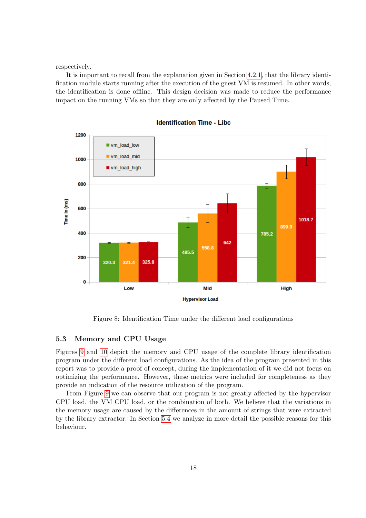respectively.

It is important to recall from the explanation given in Section [4.2.1,](#page-11-1) that the library identification module starts running after the execution of the guest VM is resumed. In other words, the identification is done offline. This design decision was made to reduce the performance impact on the running VMs so that they are only affected by the Paused Time.

<span id="page-18-1"></span>

**Identification Time - Libc** 

Figure 8: Identification Time under the different load configurations

#### <span id="page-18-0"></span>5.3 Memory and CPU Usage

Figures [9](#page-19-0) and [10](#page-20-1) depict the memory and CPU usage of the complete library identification program under the different load configurations. As the idea of the program presented in this report was to provide a proof of concept, during the implementation of it we did not focus on optimizing the performance. However, these metrics were included for completeness as they provide an indication of the resource utilization of the program.

From Figure [9](#page-19-0) we can observe that our program is not greatly affected by the hypervisor CPU load, the VM CPU load, or the combination of both. We believe that the variations in the memory usage are caused by the differences in the amount of strings that were extracted by the library extractor. In Section [5.4](#page-20-0) we analyze in more detail the possible reasons for this behaviour.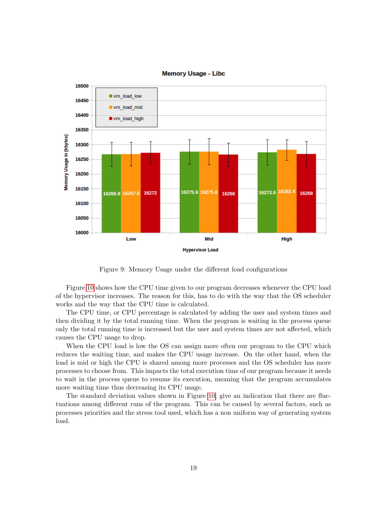<span id="page-19-0"></span>

**Memory Usage - Libc** 

Figure 9: Memory Usage under the different load configurations

Figure [10](#page-20-1) shows how the CPU time given to our program decreases whenever the CPU load of the hypervisor increases. The reason for this, has to do with the way that the OS scheduler works and the way that the CPU time is calculated.

The CPU time, or CPU percentage is calculated by adding the user and system times and then dividing it by the total running time. When the program is waiting in the process queue only the total running time is increased but the user and system times are not affected, which causes the CPU usage to drop.

When the CPU load is low the OS can assign more often our program to the CPU which reduces the waiting time, and makes the CPU usage increase. On the other hand, when the load is mid or high the CPU is shared among more processes and the OS scheduler has more processes to choose from. This impacts the total execution time of our program because it needs to wait in the process queue to resume its execution, meaning that the program accumulates more waiting time thus decreasing its CPU usage.

The standard deviation values shown in Figure [10,](#page-20-1) give an indication that there are fluctuations among different runs of the program. This can be caused by several factors, such as processes priorities and the stress tool used, which has a non uniform way of generating system load.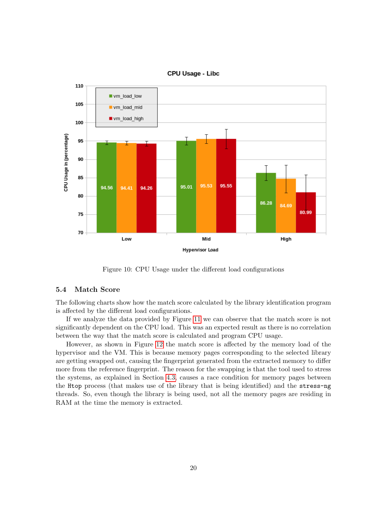

<span id="page-20-1"></span>

Figure 10: CPU Usage under the different load configurations

#### <span id="page-20-0"></span>5.4 Match Score

The following charts show how the match score calculated by the library identification program is affected by the different load configurations.

If we analyze the data provided by Figure [11](#page-21-1) we can observe that the match score is not significantly dependent on the CPU load. This was an expected result as there is no correlation between the way that the match score is calculated and program CPU usage.

However, as shown in Figure [12](#page-21-2) the match score is affected by the memory load of the hypervisor and the VM. This is because memory pages corresponding to the selected library are getting swapped out, causing the fingerprint generated from the extracted memory to differ more from the reference fingerprint. The reason for the swapping is that the tool used to stress the systems, as explained in Section [4.3,](#page-13-0) causes a race condition for memory pages between the Htop process (that makes use of the library that is being identified) and the stress-ng threads. So, even though the library is being used, not all the memory pages are residing in RAM at the time the memory is extracted.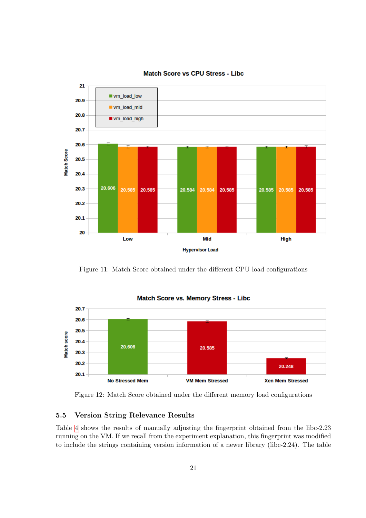<span id="page-21-1"></span>

Match Score vs CPU Stress - Libc

Figure 11: Match Score obtained under the different CPU load configurations

<span id="page-21-2"></span>

Match Score vs. Memory Stress - Libc

Figure 12: Match Score obtained under the different memory load configurations

## <span id="page-21-0"></span>5.5 Version String Relevance Results

Table [4](#page-22-0) shows the results of manually adjusting the fingerprint obtained from the libc-2.23 running on the VM. If we recall from the experiment explanation, this fingerprint was modified to include the strings containing version information of a newer library (libc-2.24). The table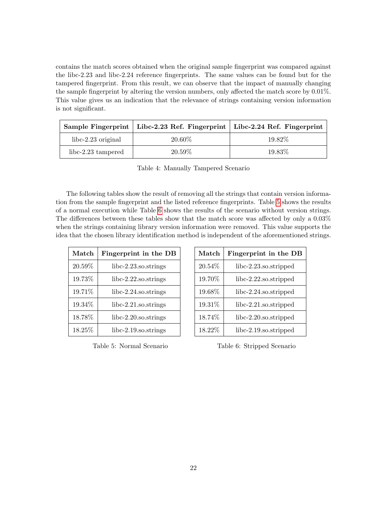contains the match scores obtained when the original sample fingerprint was compared against the libc-2.23 and libc-2.24 reference fingerprints. The same values can be found but for the tampered fingerprint. From this result, we can observe that the impact of manually changing the sample fingerprint by altering the version numbers, only affected the match score by 0.01%. This value gives us an indication that the relevance of strings containing version information is not significant.

<span id="page-22-0"></span>

|                      | Sample Fingerprint   Libc-2.23 Ref. Fingerprint   Libc-2.24 Ref. Fingerprint |         |
|----------------------|------------------------------------------------------------------------------|---------|
| $libc-2.23$ original | 20.60%                                                                       | 19.82\% |
| libc-2.23 tampered   | 20.59%                                                                       | 19.83\% |

Table 4: Manually Tampered Scenario

The following tables show the result of removing all the strings that contain version information from the sample fingerprint and the listed reference fingerprints. Table [5](#page-22-1) shows the results of a normal execution while Table [6](#page-22-1) shows the results of the scenario without version strings. The differences between these tables show that the match score was affected by only a 0.03% when the strings containing library version information were removed. This value supports the idea that the chosen library identification method is independent of the aforementioned strings.

<span id="page-22-1"></span>

| Match   | Fingerprint in the DB   |  |
|---------|-------------------------|--|
| 20.59%  | $libc-2.23$ .so.strings |  |
| 19.73%  | $libc-2.22$ .so.strings |  |
| 19.71%  | $libc-2.24$ .so.strings |  |
| 19.34%  | $libc-2.21$ .so.strings |  |
| 18.78%  | $libc-2.20$ .so.strings |  |
| 18.25\% | $libc-2.19$ .so.strings |  |

Table 5: Normal Scenario

| Match  | Fingerprint in the DB    |  |
|--------|--------------------------|--|
| 20.54% | $libc-2.23$ .so.stripped |  |
| 19.70% | $libc-2.22$ .so.stripped |  |
| 19.68% | $libc-2.24$ .so.stripped |  |
| 19.31% | $libc-2.21$ .so.stripped |  |
| 18.74% | $libc-2.20$ .so.stripped |  |
| 18.22% | $libc-2.19$ .so.stripped |  |

Table 6: Stripped Scenario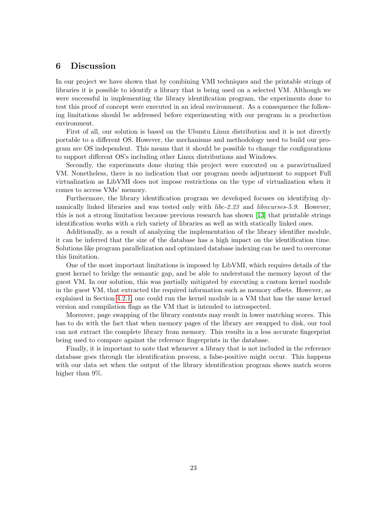### <span id="page-23-0"></span>6 Discussion

In our project we have shown that by combining VMI techniques and the printable strings of libraries it is possible to identify a library that is being used on a selected VM. Although we were successful in implementing the library identification program, the experiments done to test this proof of concept were executed in an ideal environment. As a consequence the following limitations should be addressed before experimenting with our program in a production environment.

First of all, our solution is based on the Ubuntu Linux distribution and it is not directly portable to a different OS. However, the mechanisms and methodology used to build our program are OS independent. This means that it should be possible to change the configurations to support different OS's including other Linux distributions and Windows.

Secondly, the experiments done during this project were executed on a paravirtualized VM. Nonetheless, there is no indication that our program needs adjustment to support Full virtualization as LibVMI does not impose restrictions on the type of virtualization when it comes to access VMs' memory.

Furthermore, the library identification program we developed focuses on identifying dynamically linked libraries and was tested only with *libc-2.23* and *libncurses-5.9*. However, this is not a strong limitation because previous research has shown [\[13\]](#page-27-6) that printable strings identification works with a rich variety of libraries as well as with statically linked ones.

Additionally, as a result of analyzing the implementation of the library identifier module, it can be inferred that the size of the database has a high impact on the identification time. Solutions like program parallelization and optimized database indexing can be used to overcome this limitation.

One of the most important limitations is imposed by LibVMI, which requires details of the guest kernel to bridge the semantic gap, and be able to understand the memory layout of the guest VM. In our solution, this was partially mitigated by executing a custom kernel module in the guest VM, that extracted the required information such as memory offsets. However, as explained in Section [4.2.1,](#page-11-1) one could run the kernel module in a VM that has the same kernel version and compilation flags as the VM that is intended to introspected.

Moreover, page swapping of the library contents may result in lower matching scores. This has to do with the fact that when memory pages of the library are swapped to disk, our tool can not extract the complete library from memory. This results in a less accurate fingerprint being used to compare against the reference fingerprints in the database.

Finally, it is important to note that whenever a library that is not included in the reference database goes through the identification process, a false-positive might occur. This happens with our data set when the output of the library identification program shows match scores higher than 9%.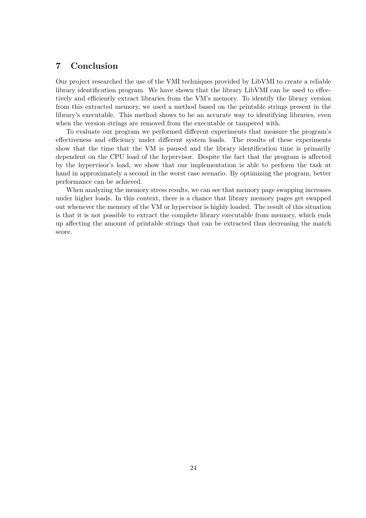## <span id="page-24-0"></span>7 Conclusion

Our project researched the use of the VMI techniques provided by LibVMI to create a reliable library identification program. We have shown that the library LibVMI can be used to effectively and efficiently extract libraries from the VM's memory. To identify the library version from this extracted memory, we used a method based on the printable strings present in the library's executable. This method shows to be an accurate way to identifying libraries, even when the version strings are removed from the executable or tampered with.

To evaluate our program we performed different experiments that measure the program's effectiveness and efficiency under different system loads. The results of these experiments show that the time that the VM is paused and the library identification time is primarily dependent on the CPU load of the hypervisor. Despite the fact that the program is affected by the hypervisor's load, we show that our implementation is able to perform the task at hand in approximately a second in the worst case scenario. By optimizing the program, better performance can be achieved.

When analyzing the memory stress results, we can see that memory page swapping increases under higher loads. In this context, there is a chance that library memory pages get swapped out whenever the memory of the VM or hypervisor is highly loaded. The result of this situation is that it is not possible to extract the complete library executable from memory, which ends up affecting the amount of printable strings that can be extracted thus decreasing the match score.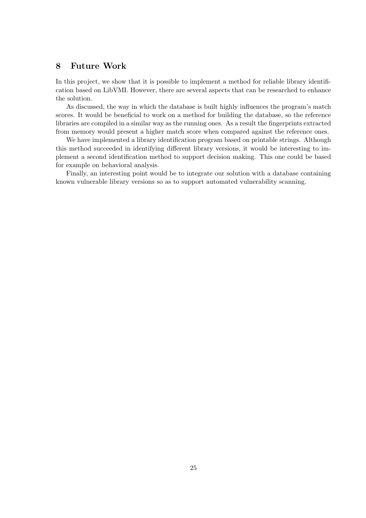## <span id="page-25-0"></span>8 Future Work

In this project, we show that it is possible to implement a method for reliable library identification based on LibVMI. However, there are several aspects that can be researched to enhance the solution.

As discussed, the way in which the database is built highly influences the program's match scores. It would be beneficial to work on a method for building the database, so the reference libraries are compiled in a similar way as the running ones. As a result the fingerprints extracted from memory would present a higher match score when compared against the reference ones.

We have implemented a library identification program based on printable strings. Although this method succeeded in identifying different library versions, it would be interesting to implement a second identification method to support decision making. This one could be based for example on behavioral analysis.

Finally, an interesting point would be to integrate our solution with a database containing known vulnerable library versions so as to support automated vulnerability scanning.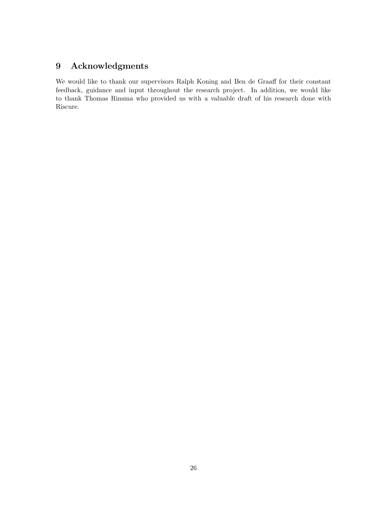## <span id="page-26-0"></span>9 Acknowledgments

We would like to thank our supervisors Ralph Koning and Ben de Graaff for their constant feedback, guidance and input throughout the research project. In addition, we would like to thank Thomas Rinsma who provided us with a valuable draft of his research done with Riscure.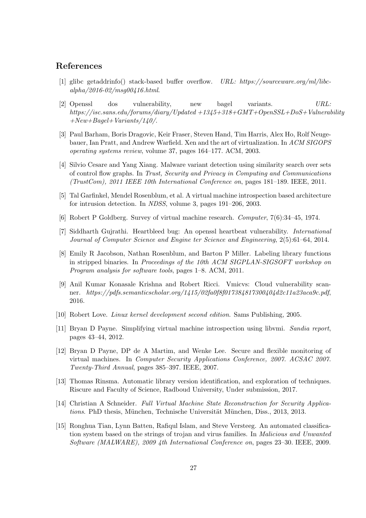## References

- <span id="page-27-2"></span>[1] glibc getaddrinfo() stack-based buffer overflow. URL: https://sourceware.org/ml/libcalpha/2016-02/msg00416.html.
- <span id="page-27-1"></span>[2] Openssl dos vulnerability, new bagel variants. URL: https://isc.sans.edu/forums/diary/Updated +1345+318+GMT+OpenSSL+DoS+Vulnerability  $+New+Bagel+Variants/140/$ .
- <span id="page-27-8"></span>[3] Paul Barham, Boris Dragovic, Keir Fraser, Steven Hand, Tim Harris, Alex Ho, Rolf Neugebauer, Ian Pratt, and Andrew Warfield. Xen and the art of virtualization. In ACM SIGOPS operating systems review, volume 37, pages 164–177. ACM, 2003.
- <span id="page-27-12"></span>[4] Silvio Cesare and Yang Xiang. Malware variant detection using similarity search over sets of control flow graphs. In Trust, Security and Privacy in Computing and Communications (TrustCom), 2011 IEEE 10th International Conference on, pages 181–189. IEEE, 2011.
- <span id="page-27-3"></span>[5] Tal Garfinkel, Mendel Rosenblum, et al. A virtual machine introspection based architecture for intrusion detection. In NDSS, volume 3, pages 191–206, 2003.
- <span id="page-27-7"></span>[6] Robert P Goldberg. Survey of virtual machine research. Computer, 7(6):34–45, 1974.
- <span id="page-27-0"></span>[7] Siddharth Gujrathi. Heartbleed bug: An openssl heartbeat vulnerability. International Journal of Computer Science and Engine ter Science and Engineering, 2(5):61–64, 2014.
- <span id="page-27-11"></span>[8] Emily R Jacobson, Nathan Rosenblum, and Barton P Miller. Labeling library functions in stripped binaries. In Proceedings of the 10th ACM SIGPLAN-SIGSOFT workshop on Program analysis for software tools, pages 1–8. ACM, 2011.
- <span id="page-27-4"></span>[9] Anil Kumar Konasale Krishna and Robert Ricci. Vmicvs: Cloud vulnerability scanner. https://pdfs.semanticscholar.org/1415/02fa0f8f017384817300404d2c11a23aca9c.pdf, 2016.
- <span id="page-27-14"></span>[10] Robert Love. Linux kernel development second edition. Sams Publishing, 2005.
- <span id="page-27-5"></span>[11] Bryan D Payne. Simplifying virtual machine introspection using libvmi. Sandia report, pages 43–44, 2012.
- <span id="page-27-10"></span>[12] Bryan D Payne, DP de A Martim, and Wenke Lee. Secure and flexible monitoring of virtual machines. In Computer Security Applications Conference, 2007. ACSAC 2007. Twenty-Third Annual, pages 385–397. IEEE, 2007.
- <span id="page-27-6"></span>[13] Thomas Rinsma. Automatic library version identification, and exploration of techniques. Riscure and Faculty of Science, Radboud University, Under submission, 2017.
- <span id="page-27-9"></span>[14] Christian A Schneider. Full Virtual Machine State Reconstruction for Security Applications. PhD thesis, München, Technische Universität München, Diss., 2013, 2013.
- <span id="page-27-13"></span>[15] Ronghua Tian, Lynn Batten, Rafiqul Islam, and Steve Versteeg. An automated classification system based on the strings of trojan and virus families. In *Malicious and Unwanted* Software (MALWARE), 2009 4th International Conference on, pages 23–30. IEEE, 2009.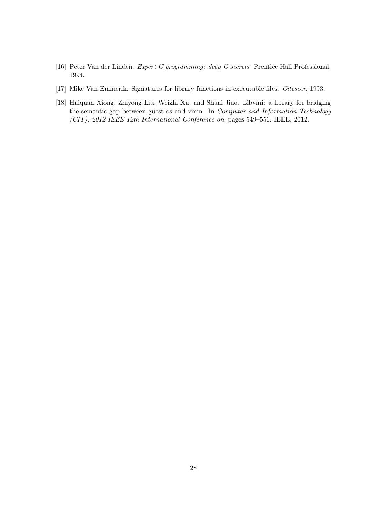- <span id="page-28-2"></span>[16] Peter Van der Linden. Expert C programming: deep C secrets. Prentice Hall Professional, 1994.
- <span id="page-28-1"></span>[17] Mike Van Emmerik. Signatures for library functions in executable files. Citeseer, 1993.
- <span id="page-28-0"></span>[18] Haiquan Xiong, Zhiyong Liu, Weizhi Xu, and Shuai Jiao. Libvmi: a library for bridging the semantic gap between guest os and vmm. In Computer and Information Technology (CIT), 2012 IEEE 12th International Conference on, pages 549–556. IEEE, 2012.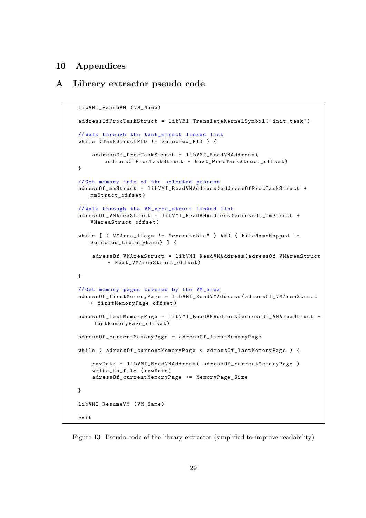## <span id="page-29-0"></span>10 Appendices

### <span id="page-29-1"></span>A Library extractor pseudo code

```
libVMI_PauseVM ( VM_Name )
addressOfProcTaskStruct = libVMI_TranslateKernelSymbol ( " init_task " )
// Walk through the task_struct linked list
while ( TaskStructPID != Selected_PID ) {
    addressOf_ProcTaskStruct = libVMI_ReadVMAddress (
       addressOfProcTaskStruct + Next_ProcTaskStruct_offset )
}
// Get memory info of the selected process
adressOf_mmStruct = libVMI_ReadVMAddress ( addressOfProcTaskStruct +
   mmStruct_offset )
// Walk through the VM_area_struct linked list
adressOf_VMAreaStruct = libVMI_ReadVMAddress ( adressOf_mmStruct +
   VMAreaStruct_offset )
while [ ( VMArea_flags != "executable" ) AND ( FileNameMapped !=
   Selected_LibraryName) ] {
    adressOf_VMAreaStruct = libVMI_ReadVMAddress ( adressOf_VMAreaStruct
        + Next_VMAreaStruct_offset )
}
// Get memory pages covered by the VM_area
adressOf_firstMemoryPage = libVMI_ReadVMAddress ( adressOf_VMAreaStruct
   + firstMemoryPage_offset )
adressOf_lastMemoryPage = libVMI_ReadVMAddress ( adressOf_VMAreaStruct +
     lastMemoryPage_offset )
adressOf_currentMemoryPage = adressOf_firstMemoryPage
while ( adressOf_currentMemoryPage < adressOf_lastMemoryPage ) {
    rawData = libVMI_ReadVMAddress ( adressOf_currentMemoryPage )
    write_to_file ( rawData )
    adressOf_currentMemoryPage += MemoryPage_Size
}
libVMI ResumeVM ( VM_Name )
exit
```
Figure 13: Pseudo code of the library extractor (simplified to improve readability)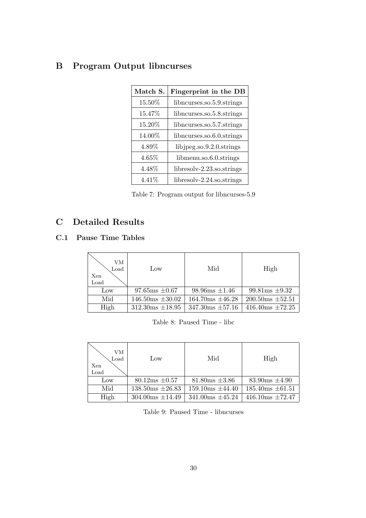## <span id="page-30-0"></span>B Program Output libncurses

| Match S.  | Fingerprint in the DB        |
|-----------|------------------------------|
| $15.50\%$ | libncurses.so.5.9.strings    |
| 15.47%    | libncurses.so.5.8.strings    |
| 15.20%    | libncurses.so.5.7.strings    |
| 14.00%    | libncurses.so.6.0.strings    |
| 4.89%     | libjpeg.so.9.2.0.strings     |
| 4.65%     | libmenu.so.6.0.strings       |
| 4.48%     | $libresolv-2.23$ .so.strings |
| $4.41\%$  | $libresolv-2.24$ .so.strings |

Table 7: Program output for libncurses-5.9

## <span id="page-30-1"></span>C Detailed Results

## <span id="page-30-2"></span>C.1 Pause Time Tables

| VМ<br>Load<br>Xen<br>Load | Low                   | Mid                        | High                 |
|---------------------------|-----------------------|----------------------------|----------------------|
| Low                       | $97.65$ ms $\pm 0.67$ | $98.96 \text{ms} \pm 1.46$ | $99.81ms \pm 9.32$   |
| Mid                       | $146.50ms \pm 30.02$  | $164.70ms \pm 46.28$       | $200.50ms \pm 52.51$ |
| High                      | $312.30ms \pm 18.95$  | $347.30$ ms $\pm 57.16$    | $416.40ms \pm 72.25$ |

Table 8: Paused Time - libc

| VМ<br>Load<br>Xen<br>Load | Low                     | Mid                     | High                  |
|---------------------------|-------------------------|-------------------------|-----------------------|
| Low                       | $80.12ms \pm 0.57$      | $81.80$ ms $\pm 3.86$   | $83.90$ ms $\pm 4.90$ |
| Mid                       | $138.50ms \pm 26.83$    | $159.10$ ms $\pm 44.40$ | $185.40ms \pm 61.51$  |
| High                      | $304.00$ ms $\pm$ 14.49 | $341.00$ ms $\pm 45.24$ | $416.10ms \pm 72.47$  |

Table 9: Paused Time - libncurses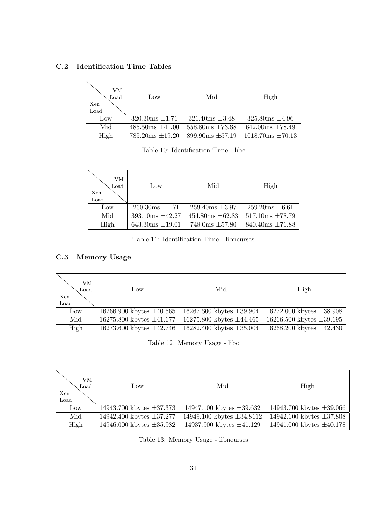## <span id="page-31-0"></span>C.2 Identification Time Tables

| VМ<br>$_{\text{Load}}$<br>Xen<br>Load | Low                     | Mid                          | High                     |
|---------------------------------------|-------------------------|------------------------------|--------------------------|
| Low                                   | $320.30ms \pm 1.71$     | $321.40$ ms $\pm 3.48$       | $325.80$ ms $\pm 4.96$   |
| Mid                                   | $485.50$ ms $\pm 41.00$ | $558.80$ ms $\pm 73.68$      | $642.00ms \pm 78.49$     |
| High                                  | $785.20$ ms $\pm 19.20$ | $899.90 \text{ms} \pm 57.19$ | $1018.70$ ms $\pm 70.13$ |

Table 10: Identification Time - libc

| VМ<br>Load<br>Xen<br>Load | Low                          | Mid                          | High                 |
|---------------------------|------------------------------|------------------------------|----------------------|
| Low                       | $260.30ms \pm 1.71$          | $259.40ms \pm 3.97$          | $259.20ms \pm 6.61$  |
| Mid                       | $393.10 \text{ms} \pm 42.27$ | $454.80ms \pm 62.83$         | $517.10ms \pm 78.79$ |
| High                      | $643.30ms \pm 19.01$         | $748.0 \text{ms } \pm 57.80$ | $840.40ms \pm 71.88$ |

Table 11: Identification Time - libncurses

## <span id="page-31-1"></span>C.3 Memory Usage

| VМ<br>$_{\text{Load}}$<br>Xen<br>Load | Low                             | Mid                           | High                          |
|---------------------------------------|---------------------------------|-------------------------------|-------------------------------|
| Low                                   | $16266.900$ kbytes $\pm 40.565$ | 16267.600 kbytes $\pm 39.904$ | 16272.000 kbytes $\pm 38.908$ |
| Mid                                   | 16275.800 kbytes $\pm 41.677$   | 16275.800 kbytes $\pm 44.465$ | 16266.500 kbytes $\pm 39.195$ |
| High                                  | 16273.600 kbytes $\pm 42.746$   | 16282.400 kbytes $\pm 35.004$ | 16268.200 kbytes $\pm 42.430$ |

Table 12: Memory Usage - libc

| VМ<br>$_{\text{Load}}$<br>Xen<br>Load | Low                             | Mid                            | High                          |
|---------------------------------------|---------------------------------|--------------------------------|-------------------------------|
| Low                                   | $14943.700$ kbytes $\pm 37.373$ | 14947.100 kbytes $\pm 39.632$  | 14943.700 kbytes $\pm 39.066$ |
| Mid                                   | 14942.400 kbytes $\pm 37.277$   | 14949.100 kbytes $\pm 34.8112$ | 14942.100 kbytes $\pm 37.808$ |
| High                                  | $14946.000$ kbytes $\pm 35.982$ | 14937.900 kbytes $\pm 41.129$  | 14941.000 kbytes $\pm 40.178$ |

Table 13: Memory Usage - libncurses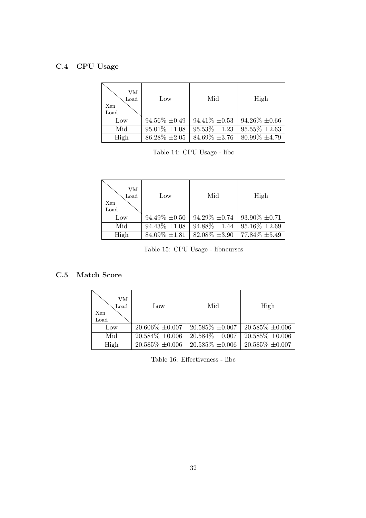## <span id="page-32-0"></span>C.4 CPU Usage

| VМ<br>Load<br>Xen<br>Load | Low                | Mid                | High               |
|---------------------------|--------------------|--------------------|--------------------|
| Low                       | $94.56\% \pm 0.49$ | $94.41\% \pm 0.53$ | $94.26\% \pm 0.66$ |
| Mid                       | $95.01\% \pm 1.08$ | $95.53\% \pm 1.23$ | $95.55\% \pm 2.63$ |
| High                      | $86.28\% \pm 2.05$ | $84.69\% \pm 3.76$ | $80.99\% \pm 4.79$ |

Table 14: CPU Usage - libc

| VМ<br>Load<br>Xen<br>Load | Low                | Mid                | High               |
|---------------------------|--------------------|--------------------|--------------------|
| Low                       | $94.49\% \pm 0.50$ | $94.29\% \pm 0.74$ | $93.90\% \pm 0.71$ |
| Mid                       | $94.43\% \pm 1.08$ | $94.88\% \pm 1.44$ | $95.16\% \pm 2.69$ |
| High                      | $84.09\% \pm 1.81$ | $82.08\% \pm 3.90$ | 77.84\% $\pm 5.49$ |

Table 15: CPU Usage - libncurses

## <span id="page-32-1"></span>C.5 Match Score

| Xen<br>Load | VМ<br>Load | Low                  | Mid                  | High                 |
|-------------|------------|----------------------|----------------------|----------------------|
| Low         |            | $20.606\% \pm 0.007$ | $20.585\% \pm 0.007$ | $20.585\% \pm 0.006$ |
| Mid         |            | $20.584\% \pm 0.006$ | $20.584\% \pm 0.007$ | $20.585\% \pm 0.006$ |
|             | High       | $20.585\% \pm 0.006$ | $20.585\% \pm 0.006$ | $20.585\% \pm 0.007$ |

Table 16: Effectiveness - libc